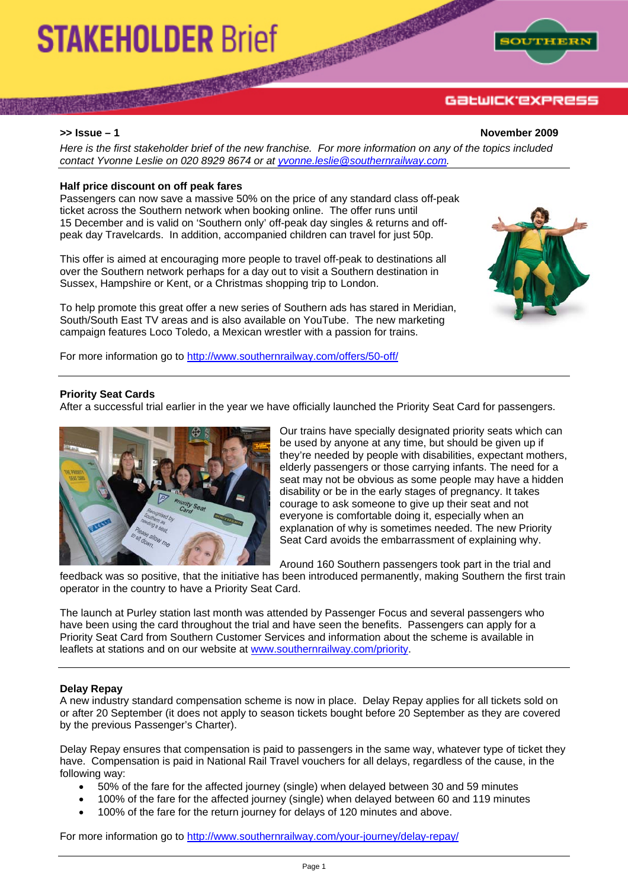# **STAKEHOLDER Brief**



## GƏLWICK'EXPRESS

**>> Issue – 1 November 2009** 

*Here is the first stakeholder brief of the new franchise. For more information on any of the topics included contact Yvonne Leslie on 020 8929 8674 or at yvonne.leslie@southernrailway.com.*

#### **Half price discount on off peak fares**

Passengers can now save a massive 50% on the price of any standard class off-peak ticket across the Southern network when booking online. The offer runs until 15 December and is valid on 'Southern only' off-peak day singles & returns and offpeak day Travelcards. In addition, accompanied children can travel for just 50p.

This offer is aimed at encouraging more people to travel off-peak to destinations all over the Southern network perhaps for a day out to visit a Southern destination in Sussex, Hampshire or Kent, or a Christmas shopping trip to London.

To help promote this great offer a new series of Southern ads has stared in Meridian, South/South East TV areas and is also available on YouTube. The new marketing campaign features Loco Toledo, a Mexican wrestler with a passion for trains.

For more information go to http://www.southernrailway.com/offers/50-off/



#### **Priority Seat Cards**

After a successful trial earlier in the year we have officially launched the Priority Seat Card for passengers.



Our trains have specially designated priority seats which can be used by anyone at any time, but should be given up if they're needed by people with disabilities, expectant mothers, elderly passengers or those carrying infants. The need for a seat may not be obvious as some people may have a hidden disability or be in the early stages of pregnancy. It takes courage to ask someone to give up their seat and not everyone is comfortable doing it, especially when an explanation of why is sometimes needed. The new Priority Seat Card avoids the embarrassment of explaining why.

Around 160 Southern passengers took part in the trial and

feedback was so positive, that the initiative has been introduced permanently, making Southern the first train operator in the country to have a Priority Seat Card.

The launch at Purley station last month was attended by Passenger Focus and several passengers who have been using the card throughout the trial and have seen the benefits. Passengers can apply for a Priority Seat Card from Southern Customer Services and information about the scheme is available in leaflets at stations and on our website at www.southernrailway.com/priority.

#### **Delay Repay**

A new industry standard compensation scheme is now in place. Delay Repay applies for all tickets sold on or after 20 September (it does not apply to season tickets bought before 20 September as they are covered by the previous Passenger's Charter).

Delay Repay ensures that compensation is paid to passengers in the same way, whatever type of ticket they have. Compensation is paid in National Rail Travel vouchers for all delays, regardless of the cause, in the following way:

- 50% of the fare for the affected journey (single) when delayed between 30 and 59 minutes
- 100% of the fare for the affected journey (single) when delayed between 60 and 119 minutes
- 100% of the fare for the return journey for delays of 120 minutes and above.

For more information go to http://www.southernrailway.com/your-journey/delay-repay/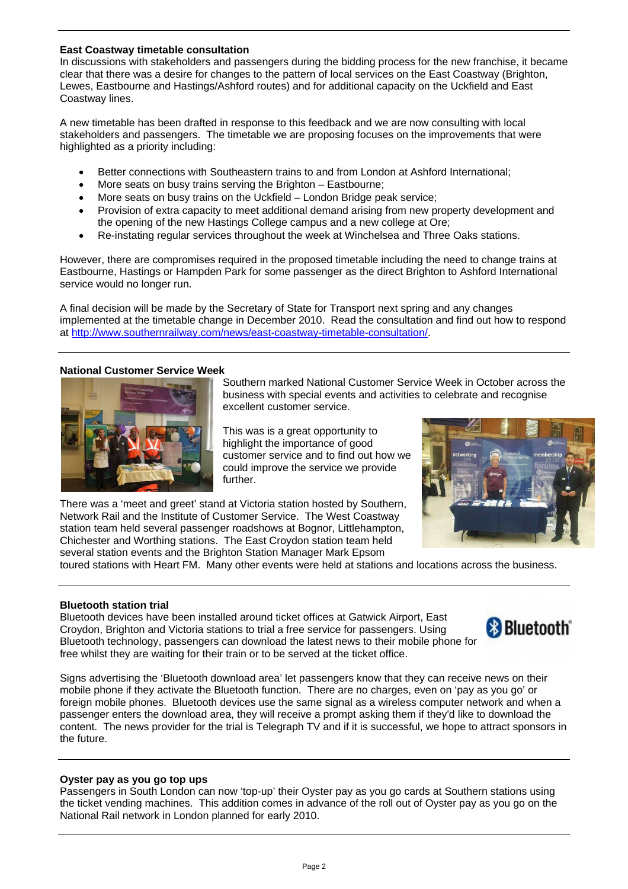#### **East Coastway timetable consultation**

In discussions with stakeholders and passengers during the bidding process for the new franchise, it became clear that there was a desire for changes to the pattern of local services on the East Coastway (Brighton, Lewes, Eastbourne and Hastings/Ashford routes) and for additional capacity on the Uckfield and East Coastway lines.

A new timetable has been drafted in response to this feedback and we are now consulting with local stakeholders and passengers. The timetable we are proposing focuses on the improvements that were highlighted as a priority including:

- Better connections with Southeastern trains to and from London at Ashford International:
- More seats on busy trains serving the Brighton Eastbourne;
- More seats on busy trains on the Uckfield London Bridge peak service;
- Provision of extra capacity to meet additional demand arising from new property development and the opening of the new Hastings College campus and a new college at Ore;
- Re-instating regular services throughout the week at Winchelsea and Three Oaks stations.

However, there are compromises required in the proposed timetable including the need to change trains at Eastbourne, Hastings or Hampden Park for some passenger as the direct Brighton to Ashford International service would no longer run.

A final decision will be made by the Secretary of State for Transport next spring and any changes implemented at the timetable change in December 2010. Read the consultation and find out how to respond at http://www.southernrailway.com/news/east-coastway-timetable-consultation/.

### **National Customer Service Week**



Southern marked National Customer Service Week in October across the business with special events and activities to celebrate and recognise excellent customer service.

This was is a great opportunity to highlight the importance of good customer service and to find out how we could improve the service we provide further.

There was a 'meet and greet' stand at Victoria station hosted by Southern, Network Rail and the Institute of Customer Service. The West Coastway station team held several passenger roadshows at Bognor, Littlehampton, Chichester and Worthing stations. The East Croydon station team held several station events and the Brighton Station Manager Mark Epsom



toured stations with Heart FM. Many other events were held at stations and locations across the business.

#### **Bluetooth station trial**

Bluetooth devices have been installed around ticket offices at Gatwick Airport, East Croydon, Brighton and Victoria stations to trial a free service for passengers. Using Bluetooth technology, passengers can download the latest news to their mobile phone for free whilst they are waiting for their train or to be served at the ticket office.



Signs advertising the 'Bluetooth download area' let passengers know that they can receive news on their mobile phone if they activate the Bluetooth function. There are no charges, even on 'pay as you go' or foreign mobile phones. Bluetooth devices use the same signal as a wireless computer network and when a passenger enters the download area, they will receive a prompt asking them if they'd like to download the content. The news provider for the trial is Telegraph TV and if it is successful, we hope to attract sponsors in the future.

#### **Oyster pay as you go top ups**

Passengers in South London can now 'top-up' their Oyster pay as you go cards at Southern stations using the ticket vending machines. This addition comes in advance of the roll out of Oyster pay as you go on the National Rail network in London planned for early 2010.